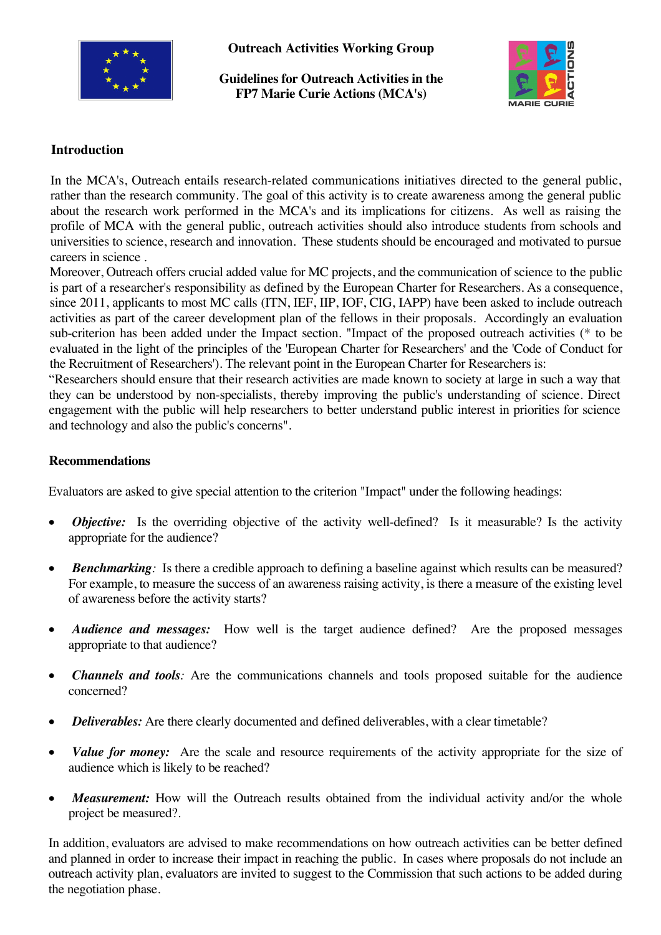

**Outreach Activities Working Group** 

**Guidelines for Outreach Activities in the FP7 Marie Curie Actions (MCA's)**



## **Introduction**

In the MCA's, Outreach entails research-related communications initiatives directed to the general public, rather than the research community. The goal of this activity is to create awareness among the general public about the research work performed in the MCA's and its implications for citizens. As well as raising the profile of MCA with the general public, outreach activities should also introduce students from schools and universities to science, research and innovation. These students should be encouraged and motivated to pursue careers in science .

Moreover, Outreach offers crucial added value for MC projects, and the communication of science to the public is part of a researcher's responsibility as defined by the European Charter for Researchers. As a consequence, since 2011, applicants to most MC calls (ITN, IEF, IIP, IOF, CIG, IAPP) have been asked to include outreach activities as part of the career development plan of the fellows in their proposals. Accordingly an evaluation sub-criterion has been added under the Impact section. "Impact of the proposed outreach activities (\* to be evaluated in the light of the principles of the 'European Charter for Researchers' and the 'Code of Conduct for the Recruitment of Researchers'). The relevant point in the European Charter for Researchers is:

"Researchers should ensure that their research activities are made known to society at large in such a way that they can be understood by non-specialists, thereby improving the public's understanding of science. Direct engagement with the public will help researchers to better understand public interest in priorities for science and technology and also the public's concerns".

## **Recommendations**

Evaluators are asked to give special attention to the criterion "Impact" under the following headings:

- *Objective:* Is the overriding objective of the activity well-defined? Is it measurable? Is the activity appropriate for the audience?
- *Benchmarking*: Is there a credible approach to defining a baseline against which results can be measured? For example, to measure the success of an awareness raising activity, is there a measure of the existing level of awareness before the activity starts?
- *Audience and messages:* How well is the target audience defined? Are the proposed messages appropriate to that audience?
- *Channels and tools:* Are the communications channels and tools proposed suitable for the audience concerned?
- *Deliverables:* Are there clearly documented and defined deliverables, with a clear timetable?
- *Value for money:* Are the scale and resource requirements of the activity appropriate for the size of audience which is likely to be reached?
- *Measurement:* How will the Outreach results obtained from the individual activity and/or the whole project be measured?.

In addition, evaluators are advised to make recommendations on how outreach activities can be better defined and planned in order to increase their impact in reaching the public. In cases where proposals do not include an outreach activity plan, evaluators are invited to suggest to the Commission that such actions to be added during the negotiation phase.